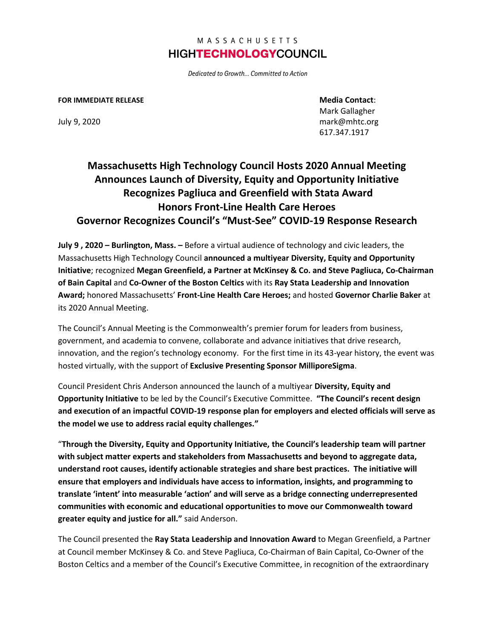## MASSACHUSETTS **HIGHTECHNOLOGYCOUNCIL**

Dedicated to Growth... Committed to Action

## **FOR IMMEDIATE RELEASE Media Contact**:

Mark Gallagher July 9, 2020 mark@mhtc.org 617.347.1917

## **Massachusetts High Technology Council Hosts 2020 Annual Meeting Announces Launch of Diversity, Equity and Opportunity Initiative Recognizes Pagliuca and Greenfield with Stata Award Honors Front-Line Health Care Heroes Governor Recognizes Council's "Must-See" COVID-19 Response Research**

**July 9 , 2020 – Burlington, Mass. –** Before a virtual audience of technology and civic leaders, the Massachusetts High Technology Council **announced a multiyear Diversity, Equity and Opportunity Initiative**; recognized **Megan Greenfield, a Partner at McKinsey & Co. and Steve Pagliuca, Co-Chairman of Bain Capital** and **Co-Owner of the Boston Celtics** with its **Ray Stata Leadership and Innovation Award;** honored Massachusetts' **Front-Line Health Care Heroes;** and hosted **Governor Charlie Baker** at its 2020 Annual Meeting.

The Council's Annual Meeting is the Commonwealth's premier forum for leaders from business, government, and academia to convene, collaborate and advance initiatives that drive research, innovation, and the region's technology economy. For the first time in its 43-year history, the event was hosted virtually, with the support of **Exclusive Presenting Sponsor MilliporeSigma**.

Council President Chris Anderson announced the launch of a multiyear **Diversity, Equity and Opportunity Initiative** to be led by the Council's Executive Committee. **"The Council's recent design and execution of an impactful COVID-19 response plan for employers and elected officials will serve as the model we use to address racial equity challenges."**

"**Through the Diversity, Equity and Opportunity Initiative, the Council's leadership team will partner with subject matter experts and stakeholders from Massachusetts and beyond to aggregate data, understand root causes, identify actionable strategies and share best practices. The initiative will ensure that employers and individuals have access to information, insights, and programming to translate 'intent' into measurable 'action' and will serve as a bridge connecting underrepresented communities with economic and educational opportunities to move our Commonwealth toward greater equity and justice for all."** said Anderson.

The Council presented the **Ray Stata Leadership and Innovation Award** to Megan Greenfield, a Partner at Council member McKinsey & Co. and Steve Pagliuca, Co-Chairman of Bain Capital, Co-Owner of the Boston Celtics and a member of the Council's Executive Committee, in recognition of the extraordinary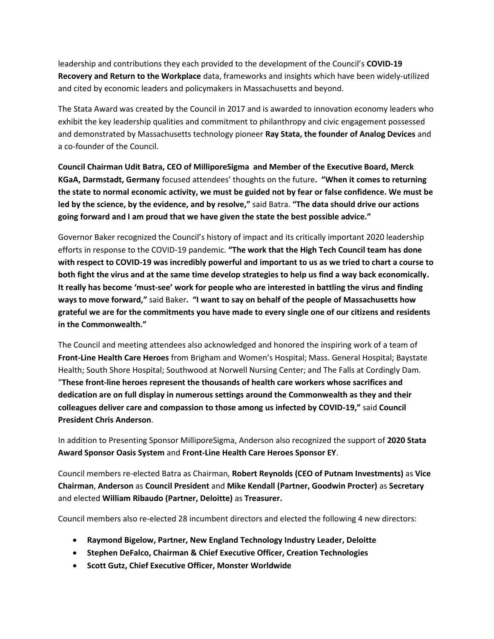leadership and contributions they each provided to the development of the Council's **COVID-19 Recovery and Return to the Workplace** data, frameworks and insights which have been widely-utilized and cited by economic leaders and policymakers in Massachusetts and beyond.

The Stata Award was created by the Council in 2017 and is awarded to innovation economy leaders who exhibit the key leadership qualities and commitment to philanthropy and civic engagement possessed and demonstrated by Massachusetts technology pioneer **Ray Stata, the founder of Analog Devices** and a co-founder of the Council.

**Council Chairman Udit Batra, CEO of MilliporeSigma and Member of the Executive Board, Merck KGaA, Darmstadt, Germany** focused attendees' thoughts on the future**. "When it comes to returning the state to normal economic activity, we must be guided not by fear or false confidence. We must be led by the science, by the evidence, and by resolve,"** said Batra. **"The data should drive our actions going forward and I am proud that we have given the state the best possible advice."**

Governor Baker recognized the Council's history of impact and its critically important 2020 leadership efforts in response to the COVID-19 pandemic. **"The work that the High Tech Council team has done with respect to COVID-19 was incredibly powerful and important to us as we tried to chart a course to both fight the virus and at the same time develop strategies to help us find a way back economically. It really has become 'must-see' work for people who are interested in battling the virus and finding ways to move forward,"** said Baker**. "I want to say on behalf of the people of Massachusetts how grateful we are for the commitments you have made to every single one of our citizens and residents in the Commonwealth."**

The Council and meeting attendees also acknowledged and honored the inspiring work of a team of **Front-Line Health Care Heroes** from Brigham and Women's Hospital; Mass. General Hospital; Baystate Health; South Shore Hospital; Southwood at Norwell Nursing Center; and The Falls at Cordingly Dam. "**These front-line heroes represent the thousands of health care workers whose sacrifices and dedication are on full display in numerous settings around the Commonwealth as they and their colleagues deliver care and compassion to those among us infected by COVID-19,"** said **Council President Chris Anderson**.

In addition to Presenting Sponsor MilliporeSigma, Anderson also recognized the support of **2020 Stata Award Sponsor Oasis System** and **Front-Line Health Care Heroes Sponsor EY**.

Council members re-elected Batra as Chairman, **Robert Reynolds (CEO of Putnam Investments)** as **Vice Chairman**, **Anderson** as **Council President** and **Mike Kendall (Partner, Goodwin Procter)** as **Secretary**  and elected **William Ribaudo (Partner, Deloitte)** as **Treasurer.**

Council members also re-elected 28 incumbent directors and elected the following 4 new directors:

- **Raymond Bigelow, Partner, New England Technology Industry Leader, Deloitte**
- **Stephen DeFalco, Chairman & Chief Executive Officer, Creation Technologies**
- **Scott Gutz, Chief Executive Officer, Monster Worldwide**